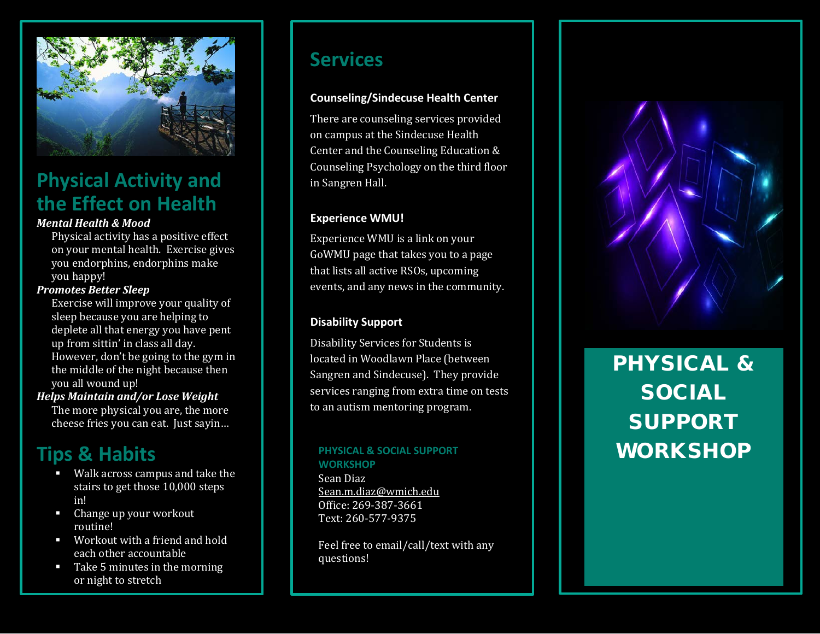

# **Physical Activity and the Effect on Health**

### *Mental Health & Mood*

Physical activity has a positive effect on your mental health. Exercise gives you endorphins, endorphins make you happy!

#### *Promotes Better Sleep*

Exercise will improve your quality of sleep because you are helping to deplete all that energy you have pent up from sittin' in class all day. However, don't be going to the gym in the middle of the night because then you all wound up!

#### *Helps Maintain and/or Lose Weight*

The more physical you are, the more cheese fries you can eat. Just sayin…

## **Tips & Habits**

- Walk across campus and take th e stairs to get those 10,000 steps in!
- Change up your workout routine!
- Workout with a friend and hold each other accountable
- Take 5 minutes in the morning or night to stretch

### **Services**

### **Counseling/Sindecuse Health Center**

There are counseling services provided on campus at the Sindecuse Health Center and the Counseling Education & Counseling Psychology on the third floor in Sangren Hall.

### **Experience WMU!**

Experience WMU is a link on your GoWMU page that takes you to a page that lists all active RSOs, upcoming events, and any news in the community.

### **Disability Support**

Disability Services for Students is located in Woodlawn Place (between Sangren and Sindecuse). They provide services ranging from extra time on tests to an autism mentoring program.

# **WORKSHOP**

Sean Diaz [Sean.m.diaz@wmich.edu](mailto:Sean.m.diaz@wmich.edu) Office: 269 -387 -3661 Text: 260 -577 -9375

Feel free to email/call/text with any questions!



# PHYSICAL & SOCIAL SUPPORT PHYSICAL & SOCIAL SUPPORT **WORKSHOP**